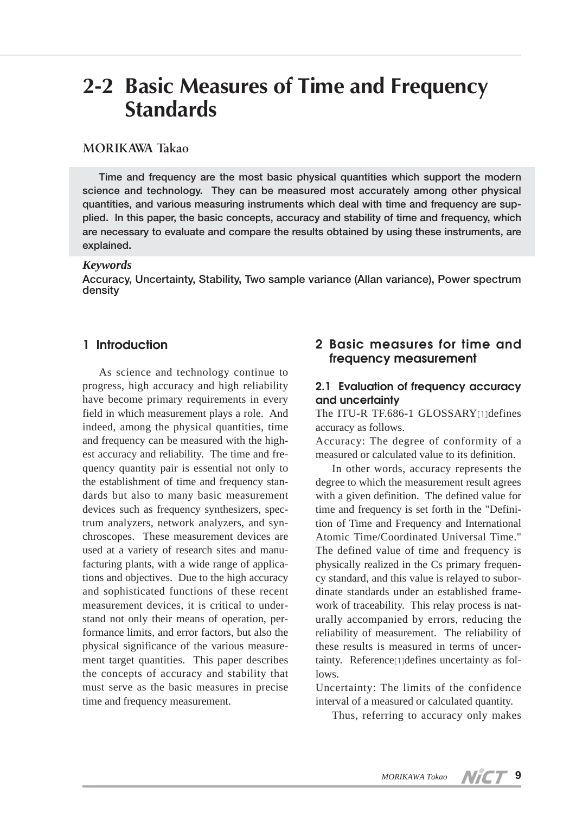# **2-2 Basic Measures of Time and Frequency Standards**

# **MORIKAWA Takao**

**Time and frequency are the most basic physical quantities which support the modern science and technology. They can be measured most accurately among other physical quantities, and various measuring instruments which deal with time and frequency are supplied. In this paper, the basic concepts, accuracy and stability of time and frequency, which are necessary to evaluate and compare the results obtained by using these instruments, are explained.**

#### *Keywords*

**Accuracy, Uncertainty, Stability, Two sample variance (Allan variance), Power spectrum density**

# **1 Introduction**

As science and technology continue to progress, high accuracy and high reliability have become primary requirements in every field in which measurement plays a role. And indeed, among the physical quantities, time and frequency can be measured with the highest accuracy and reliability. The time and frequency quantity pair is essential not only to the establishment of time and frequency standards but also to many basic measurement devices such as frequency synthesizers, spectrum analyzers, network analyzers, and synchroscopes. These measurement devices are used at a variety of research sites and manufacturing plants, with a wide range of applications and objectives. Due to the high accuracy and sophisticated functions of these recent measurement devices, it is critical to understand not only their means of operation, performance limits, and error factors, but also the physical significance of the various measurement target quantities. This paper describes the concepts of accuracy and stability that must serve as the basic measures in precise time and frequency measurement.

# **2 Basic measures for time and frequency measurement**

#### **2.1 Evaluation of frequency accuracy and uncertainty**

The ITU-R TF.686-1 GLOSSARY[1]defines accuracy as follows.

Accuracy: The degree of conformity of a measured or calculated value to its definition.

In other words, accuracy represents the degree to which the measurement result agrees with a given definition. The defined value for time and frequency is set forth in the "Definition of Time and Frequency and International Atomic Time/Coordinated Universal Time." The defined value of time and frequency is physically realized in the Cs primary frequency standard, and this value is relayed to subordinate standards under an established framework of traceability. This relay process is naturally accompanied by errors, reducing the reliability of measurement. The reliability of these results is measured in terms of uncertainty. Reference[1]defines uncertainty as follows.

Uncertainty: The limits of the confidence interval of a measured or calculated quantity.

Thus, referring to accuracy only makes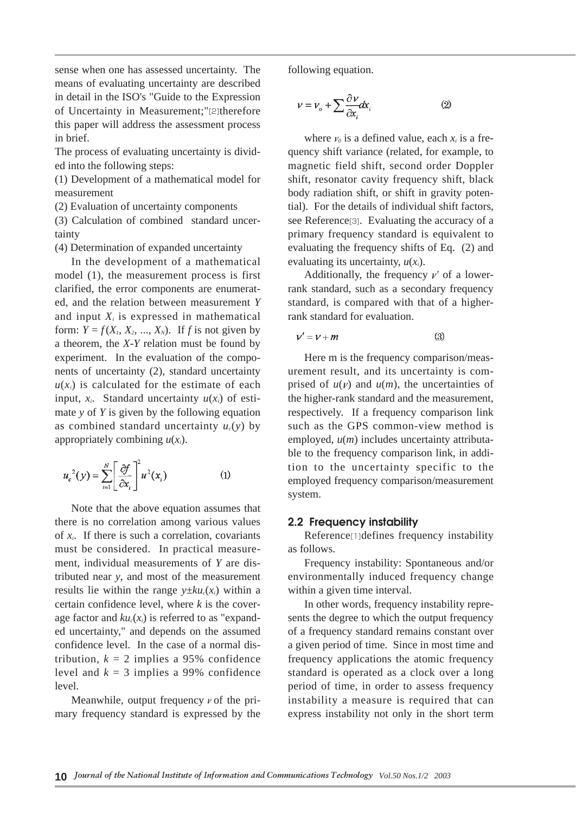sense when one has assessed uncertainty. The means of evaluating uncertainty are described in detail in the ISO's "Guide to the Expression of Uncertainty in Measurement;"[2]therefore this paper will address the assessment process in brief.

The process of evaluating uncertainty is divided into the following steps:

(1) Development of a mathematical model for measurement

(2) Evaluation of uncertainty components

(3) Calculation of combined standard uncertainty

(4) Determination of expanded uncertainty

In the development of a mathematical model (1), the measurement process is first clarified, the error components are enumerated, and the relation between measurement *Y* and input  $X_i$  is expressed in mathematical form:  $Y = f(X_1, X_2, \ldots, X_N)$ . If *f* is not given by a theorem, the *X-Y* relation must be found by experiment. In the evaluation of the components of uncertainty (2), standard uncertainty  $u(x_i)$  is calculated for the estimate of each input,  $x_i$ . Standard uncertainty  $u(x_i)$  of estimate *y* of *Y* is given by the following equation as combined standard uncertainty  $u_c(y)$  by appropriately combining  $u(x_i)$ .

$$
u_c^2(y) = \sum_{i=1}^N \left[ \frac{\partial f}{\partial x_i} \right]^2 u^2(x_i)
$$
 (1)

Note that the above equation assumes that there is no correlation among various values of *xi*. If there is such a correlation, covariants must be considered. In practical measurement, individual measurements of *Y* are distributed near *y*, and most of the measurement results lie within the range  $y \pm k u_c(x_i)$  within a certain confidence level, where *k* is the coverage factor and  $ku_c(x_i)$  is referred to as "expanded uncertainty," and depends on the assumed confidence level. In the case of a normal distribution,  $k = 2$  implies a 95% confidence level and  $k = 3$  implies a 99% confidence level.

Meanwhile, output frequency  $\nu$  of the primary frequency standard is expressed by the following equation.

$$
\nu = \nu_o + \sum \frac{\partial \nu}{\partial x_i} dx_i \tag{2}
$$

where  $\nu_0$  is a defined value, each  $x_i$  is a frequency shift variance (related, for example, to magnetic field shift, second order Doppler shift, resonator cavity frequency shift, black body radiation shift, or shift in gravity potential). For the details of individual shift factors, see Reference[3]. Evaluating the accuracy of a primary frequency standard is equivalent to evaluating the frequency shifts of Eq. (2) and evaluating its uncertainty,  $u(x_i)$ .

Additionally, the frequency  $\nu'$  of a lowerrank standard, such as a secondary frequency standard, is compared with that of a higherrank standard for evaluation.

$$
v' = v + m \tag{3}
$$

Here m is the frequency comparison/measurement result, and its uncertainty is comprised of  $u(v)$  and  $u(m)$ , the uncertainties of the higher-rank standard and the measurement, respectively. If a frequency comparison link such as the GPS common-view method is employed, *u*(*m*) includes uncertainty attributable to the frequency comparison link, in addition to the uncertainty specific to the employed frequency comparison/measurement system.

#### **2.2 Frequency instability**

Reference[1]defines frequency instability as follows.

Frequency instability: Spontaneous and/or environmentally induced frequency change within a given time interval.

In other words, frequency instability represents the degree to which the output frequency of a frequency standard remains constant over a given period of time. Since in most time and frequency applications the atomic frequency standard is operated as a clock over a long period of time, in order to assess frequency instability a measure is required that can express instability not only in the short term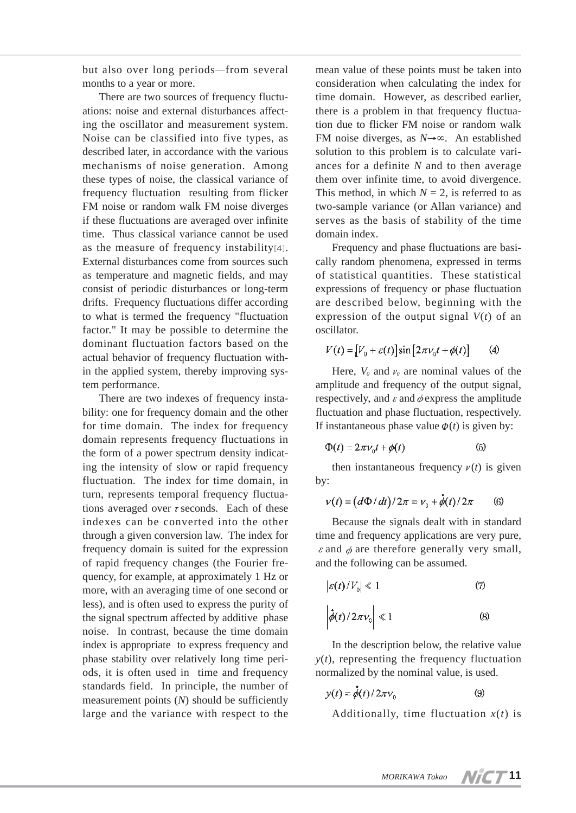but also over long periods―from several months to a year or more.

There are two sources of frequency fluctuations: noise and external disturbances affecting the oscillator and measurement system. Noise can be classified into five types, as described later, in accordance with the various mechanisms of noise generation. Among these types of noise, the classical variance of frequency fluctuation resulting from flicker FM noise or random walk FM noise diverges if these fluctuations are averaged over infinite time. Thus classical variance cannot be used as the measure of frequency instability[4]. External disturbances come from sources such as temperature and magnetic fields, and may consist of periodic disturbances or long-term drifts. Frequency fluctuations differ according to what is termed the frequency "fluctuation factor." It may be possible to determine the dominant fluctuation factors based on the actual behavior of frequency fluctuation within the applied system, thereby improving system performance.

There are two indexes of frequency instability: one for frequency domain and the other for time domain. The index for frequency domain represents frequency fluctuations in the form of a power spectrum density indicating the intensity of slow or rapid frequency fluctuation. The index for time domain, in turn, represents temporal frequency fluctuations averaged over  $\tau$  seconds. Each of these indexes can be converted into the other through a given conversion law. The index for frequency domain is suited for the expression of rapid frequency changes (the Fourier frequency, for example, at approximately 1 Hz or more, with an averaging time of one second or less), and is often used to express the purity of the signal spectrum affected by additive phase noise. In contrast, because the time domain index is appropriate to express frequency and phase stability over relatively long time periods, it is often used in time and frequency standards field. In principle, the number of measurement points (*N*) should be sufficiently large and the variance with respect to the

mean value of these points must be taken into consideration when calculating the index for time domain. However, as described earlier, there is a problem in that frequency fluctuation due to flicker FM noise or random walk FM noise diverges, as *N*→∞. An established solution to this problem is to calculate variances for a definite *N* and to then average them over infinite time, to avoid divergence. This method, in which  $N = 2$ , is referred to as two-sample variance (or Allan variance) and serves as the basis of stability of the time domain index.

Frequency and phase fluctuations are basically random phenomena, expressed in terms of statistical quantities. These statistical expressions of frequency or phase fluctuation are described below, beginning with the expression of the output signal  $V(t)$  of an oscillator.

$$
V(t) = [V_0 + \varepsilon(t)]\sin[2\pi\nu_0 t + \phi(t)] \qquad (4)
$$

Here,  $V_0$  and  $v_0$  are nominal values of the amplitude and frequency of the output signal, respectively, and  $\varepsilon$  and  $\phi$  express the amplitude fluctuation and phase fluctuation, respectively. If instantaneous phase value  $\Phi(t)$  is given by:

$$
\Phi(t) = 2\pi v_0 t + \phi(t) \tag{5}
$$

then instantaneous frequency  $v(t)$  is given by:

$$
v(t) = \left(d\Phi/dt\right)/2\pi = v_0 + \dot{\phi}(t)/2\pi \qquad (6)
$$

Because the signals dealt with in standard time and frequency applications are very pure,  $\varepsilon$  and  $\phi$  are therefore generally very small, and the following can be assumed.

$$
|\varepsilon(t)/V_0| \le 1 \tag{7}
$$
  

$$
\left|\dot{\phi}(t)/2\pi v_0\right| \le 1 \tag{8}
$$

In the description below, the relative value  $y(t)$ , representing the frequency fluctuation normalized by the nominal value, is used.

$$
y(t) = \dot{\phi}(t) / 2\pi v_0 \tag{9}
$$

Additionally, time fluctuation  $x(t)$  is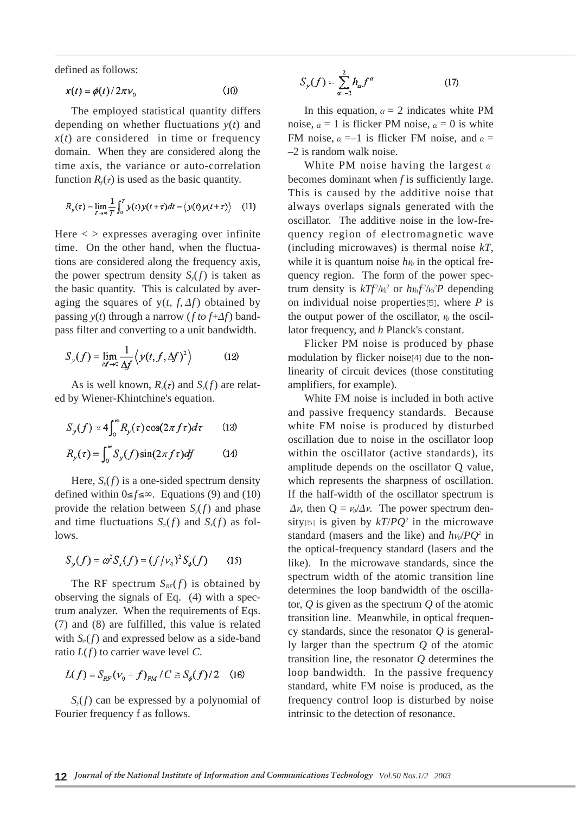defined as follows:

$$
x(t) = \phi(t)/2\pi\nu_0
$$
 (10)

The employed statistical quantity differs depending on whether fluctuations *y*(*t*) and  $x(t)$  are considered in time or frequency domain. When they are considered along the time axis, the variance or auto-correlation function  $R_{\nu}(\tau)$  is used as the basic quantity.

$$
R_{y}(\tau) = \lim_{T \to \infty} \frac{1}{T} \int_{0}^{T} y(t) y(t+\tau) dt = \langle y(t) y(t+\tau) \rangle \quad (11)
$$

Here  $\langle \rangle$  expresses averaging over infinite time. On the other hand, when the fluctuations are considered along the frequency axis, the power spectrum density  $S_y(f)$  is taken as the basic quantity. This is calculated by averaging the squares of  $y(t, f, \Delta f)$  obtained by passing  $y(t)$  through a narrow (*f to f*+ $\Delta f$ ) bandpass filter and converting to a unit bandwidth.

$$
S_{y}(f) = \lim_{\Delta f \to 0} \frac{1}{\Delta f} \left\langle y(t, f, \Delta f)^{2} \right\rangle \tag{12}
$$

As is well known,  $R_{\nu}(\tau)$  and  $S_{\nu}(f)$  are related by Wiener-Khintchine's equation.

$$
S_y(f) = 4 \int_0^\infty R_y(\tau) \cos(2\pi f \tau) d\tau
$$
 (13)  

$$
R_y(\tau) = \int_0^\infty S_y(f) \sin(2\pi f \tau) df
$$
 (14)

Here,  $S_y(f)$  is a one-sided spectrum density defined within 0≤*f*≤∞. Equations (9) and (10) provide the relation between  $S_y(f)$  and phase and time fluctuations  $S_\phi(f)$  and  $S_x(f)$  as follows.

$$
S_y(f) = \omega^2 S_x(f) = (f/\nu_0)^2 S_{\phi}(f) \qquad (15)
$$

The RF spectrum  $S_{RF}(f)$  is obtained by observing the signals of Eq. (4) with a spectrum analyzer. When the requirements of Eqs. (7) and (8) are fulfilled, this value is related with  $S_{\phi}(f)$  and expressed below as a side-band ratio *L*(*f*) to carrier wave level *C*.

$$
L(f) = S_{RF}(\nu_0 + f)_{PM} / C \approx S_{\phi}(f) / 2 \quad (16)
$$

*Sy*(*f*) can be expressed by a polynomial of Fourier frequency f as follows.

$$
S_{y}(f) = \sum_{\alpha=-2}^{2} h_{\alpha} f^{\alpha}
$$
 (17)

In this equation,  $\alpha = 2$  indicates white PM noise,  $\alpha = 1$  is flicker PM noise,  $\alpha = 0$  is white FM noise,  $\alpha = -1$  is flicker FM noise, and  $\alpha =$ –2 is random walk noise.

White PM noise having the largest**α** becomes dominant when *f* is sufficiently large. This is caused by the additive noise that always overlaps signals generated with the oscillator. The additive noise in the low-frequency region of electromagnetic wave (including microwaves) is thermal noise *kT*, while it is quantum noise  $h\nu_0$  in the optical frequency region. The form of the power spectrum density is  $kTf^2/v_0^2$  or  $hv_0f^2/v_0^2P$  depending on individual noise properties[5], where *P* is the output power of the oscillator,  $\nu_0$  the oscillator frequency, and *h* Planck's constant.

Flicker PM noise is produced by phase modulation by flicker noise[4] due to the nonlinearity of circuit devices (those constituting amplifiers, for example).

White FM noise is included in both active and passive frequency standards. Because white FM noise is produced by disturbed oscillation due to noise in the oscillator loop within the oscillator (active standards), its amplitude depends on the oscillator Q value, which represents the sharpness of oscillation. If the half-width of the oscillator spectrum is  $\Delta v$ , then  $Q = v_0/\Delta v$ . The power spectrum density<sup>[5]</sup> is given by  $kT/PQ^2$  in the microwave standard (masers and the like) and  $h\nu_0$ /*PQ*<sup>2</sup> in the optical-frequency standard (lasers and the like). In the microwave standards, since the spectrum width of the atomic transition line determines the loop bandwidth of the oscillator, *Q* is given as the spectrum *Q* of the atomic transition line. Meanwhile, in optical frequency standards, since the resonator *Q* is generally larger than the spectrum *Q* of the atomic transition line, the resonator *Q* determines the loop bandwidth. In the passive frequency standard, white FM noise is produced, as the frequency control loop is disturbed by noise intrinsic to the detection of resonance.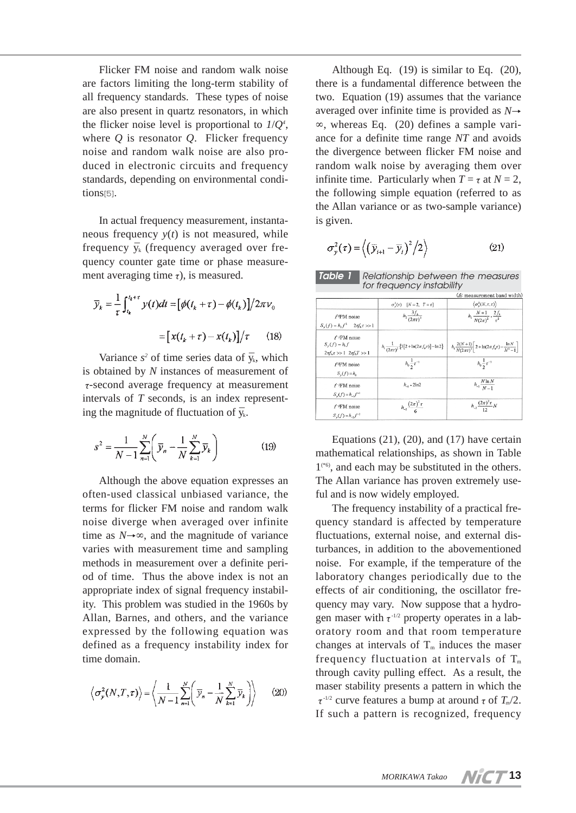Flicker FM noise and random walk noise are factors limiting the long-term stability of all frequency standards. These types of noise are also present in quartz resonators, in which the flicker noise level is proportional to *1*/*Q4* , where *Q* is resonator *Q*. Flicker frequency noise and random walk noise are also produced in electronic circuits and frequency standards, depending on environmental conditions[5].

In actual frequency measurement, instantaneous frequency  $y(t)$  is not measured, while frequency  $\bar{v}_k$  (frequency averaged over frequency counter gate time or phase measurement averaging time  $\tau$ ), is measured.

$$
\overline{y}_k = \frac{1}{\tau} \int_{t_k}^{t_k + \tau} y(t)dt = \left[ \phi(t_k + \tau) - \phi(t_k) \right] / 2\pi \nu_0
$$

$$
= \left[ x(t_k + \tau) - x(t_k) \right] / \tau \qquad (18)
$$

Variance  $s^2$  of time series data of  $\bar{y}_k$ , which is obtained by *N* instances of measurement of τ-second average frequency at measurement intervals of *T* seconds, is an index representing the magnitude of fluctuation of  $\bar{y}_k$ .

$$
s^{2} = \frac{1}{N-1} \sum_{n=1}^{N} \left( \bar{y}_{n} - \frac{1}{N} \sum_{k=1}^{N} \bar{y}_{k} \right)
$$
(19)

Although the above equation expresses an often-used classical unbiased variance, the terms for flicker FM noise and random walk noise diverge when averaged over infinite time as  $N \rightarrow \infty$ , and the magnitude of variance varies with measurement time and sampling methods in measurement over a definite period of time. Thus the above index is not an appropriate index of signal frequency instability. This problem was studied in the 1960s by Allan, Barnes, and others, and the variance expressed by the following equation was defined as a frequency instability index for time domain.

$$
\left\langle \sigma_{\mathcal{Y}}^2(N,T,\tau) \right\rangle = \left\langle \frac{1}{N-1} \sum_{n=1}^N \left( \overline{\mathcal{Y}}_n - \frac{1}{N} \sum_{k=1}^N \overline{\mathcal{Y}}_k \right) \right\rangle \qquad (20)
$$

Although Eq. (19) is similar to Eq. (20), there is a fundamental difference between the two. Equation (19) assumes that the variance averaged over infinite time is provided as *N*→ ∞, whereas Eq. (20) defines a sample variance for a definite time range *NT* and avoids the divergence between flicker FM noise and random walk noise by averaging them over infinite time. Particularly when  $T = \tau$  at  $N = 2$ , the following simple equation (referred to as the Allan variance or as two-sample variance) is given.

$$
\sigma_{y}^{2}(\tau) = \left\langle \left(\overline{y}_{i+1} - \overline{y}_{i}\right)^{2} / 2 \right\rangle \tag{21}
$$

*Relationship between the measures for frequency instability Table 1*

|                                                                                            |                                                                                               | (f <sub>i</sub> measurement band width)                                                          |
|--------------------------------------------------------------------------------------------|-----------------------------------------------------------------------------------------------|--------------------------------------------------------------------------------------------------|
|                                                                                            | $\sigma_v^2(\tau)$ [N = 2, T = $\tau$ ]                                                       | $\langle \sigma_v^2(N,\tau,\tau) \rangle$                                                        |
| $f \circ P M$ noise<br>$S_{y}(f) = h_2 f^2$ $2\pi f_h \tau >> 1$                           | $h_2 \frac{3f_h}{(2\pi\tau)^2}$                                                               | $h_2 \frac{N+1}{N(2\pi)^2} \cdot \frac{2f_h}{r^2}$                                               |
| $f$ <sup>-1</sup> PM noise<br>$S_{v}(f) = h_1 f$<br>$2\pi f_k \tau >> 1$ $2\pi f_k T >> 1$ | $h_1 \frac{1}{(2\pi\tau)^2} \left\{ 3 \left[ 2 + \ln(2\pi f_h \tau) \right] - \ln 2 \right\}$ | $h_1 \frac{2(N+1)}{N(2\pi\tau)^2} \left[ 2 + \ln(2\pi f_h \tau) - \frac{\ln N}{N^2 - 1} \right]$ |
| $f$ <sup><math>q</math></sup> $F$ M noise<br>$S_v(f) = h_0$                                | $h_0 \frac{1}{2} \tau^{-1}$                                                                   | $h_0 \frac{1}{2} \tau^{-1}$                                                                      |
| $f$ <sup>-IFM</sup> noise<br>$S_v(f) = h_{-1}f^{-1}$                                       | $h_1$ . 2ln2                                                                                  | $h_{-1} \frac{N \ln N}{N-1}$                                                                     |
| $f$ - <sup>2</sup> $FM$ noise<br>$S_{y}(f) = h_{-2}f^{-2}$                                 | $h_{-2}$ $\frac{(2\pi)^2 \tau}{6}$                                                            | $h_{-2} \frac{(2\pi)^2 \tau}{12} N$                                                              |

Equations  $(21)$ ,  $(20)$ , and  $(17)$  have certain mathematical relationships, as shown in Table  $1^{(*6)}$ , and each may be substituted in the others. The Allan variance has proven extremely useful and is now widely employed.

The frequency instability of a practical frequency standard is affected by temperature fluctuations, external noise, and external disturbances, in addition to the abovementioned noise. For example, if the temperature of the laboratory changes periodically due to the effects of air conditioning, the oscillator frequency may vary. Now suppose that a hydrogen maser with  $\tau$ <sup>-1/2</sup> property operates in a laboratory room and that room temperature changes at intervals of  $T_m$  induces the maser frequency fluctuation at intervals of  $T_m$ through cavity pulling effect. As a result, the maser stability presents a pattern in which the  $\tau$ <sup>-1/2</sup> curve features a bump at around  $\tau$  of  $T_m/2$ . If such a pattern is recognized, frequency

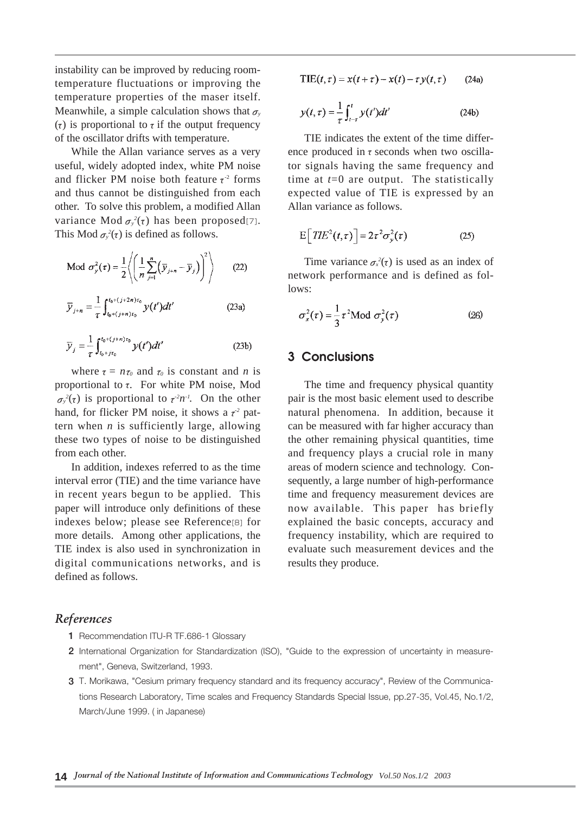instability can be improved by reducing roomtemperature fluctuations or improving the temperature properties of the maser itself. Meanwhile, a simple calculation shows that  $\sigma$ <sub>*y*</sub> (τ) is proportional to  $\tau$  if the output frequency of the oscillator drifts with temperature.

While the Allan variance serves as a very useful, widely adopted index, white PM noise and flicker PM noise both feature  $\tau^2$  forms and thus cannot be distinguished from each other. To solve this problem, a modified Allan variance Mod  $\sigma_y^2(\tau)$  has been proposed[7]. This Mod  $\sigma_y^2(\tau)$  is defined as follows.

Mod 
$$
\sigma_y^2(\tau) = \frac{1}{2} \left\langle \left( \frac{1}{n} \sum_{j=1}^n (\overline{y}_{j+n} - \overline{y}_j) \right)^2 \right\rangle
$$
 (22)  

$$
\overline{y}_{j+n} = \frac{1}{\tau} \int_{t_0 + (j+n)\tau_0}^{t_0 + (j+2n)\tau_0} y(t') dt'
$$
 (23a)

$$
\overline{\mathcal{Y}}_j = \frac{1}{\tau} \int_{t_0 + j\tau_0}^{t_0 + (j+n)\tau_0} y(t')dt'
$$
 (23b)

where  $\tau = n\tau_0$  and  $\tau_0$  is constant and *n* is proportional to  $\tau$ . For white PM noise, Mod  $\sigma_y^2(\tau)$  is proportional to  $\tau^2 n^{-1}$ . On the other hand, for flicker PM noise, it shows a  $\tau^2$  pattern when *n* is sufficiently large, allowing these two types of noise to be distinguished from each other.

In addition, indexes referred to as the time interval error (TIE) and the time variance have in recent years begun to be applied. This paper will introduce only definitions of these indexes below; please see Reference[8] for more details. Among other applications, the TIE index is also used in synchronization in digital communications networks, and is defined as follows.

#### $\text{TIE}(t, \tau) = x(t + \tau) - x(t) - \tau y(t, \tau)$  $(24a)$

$$
y(t,\tau) = \frac{1}{\tau} \int_{t-\tau}^{t} y(t')dt'
$$
 (24b)

TIE indicates the extent of the time difference produced in  $\tau$  seconds when two oscillator signals having the same frequency and time at *t*=0 are output. The statistically expected value of TIE is expressed by an Allan variance as follows.

$$
E\left[TE^{2}(t,\tau)\right] = 2\tau^{2}\sigma_{y}^{2}(\tau)
$$
 (25)

Time variance  $\sigma_x^2(\tau)$  is used as an index of network performance and is defined as follows:

$$
\sigma_x^2(\tau) = \frac{1}{3}\tau^2 \text{Mod } \sigma_y^2(\tau) \tag{26}
$$

### **3 Conclusions**

The time and frequency physical quantity pair is the most basic element used to describe natural phenomena. In addition, because it can be measured with far higher accuracy than the other remaining physical quantities, time and frequency plays a crucial role in many areas of modern science and technology. Consequently, a large number of high-performance time and frequency measurement devices are now available. This paper has briefly explained the basic concepts, accuracy and frequency instability, which are required to evaluate such measurement devices and the results they produce.

### *References*

- **1** Recommendation ITU-R TF.686-1 Glossary
- **2** International Organization for Standardization (ISO), "Guide to the expression of uncertainty in measurement", Geneva, Switzerland, 1993.
- **3** T. Morikawa, "Cesium primary frequency standard and its frequency accuracy", Review of the Communications Research Laboratory, Time scales and Frequency Standards Special Issue, pp.27-35, Vol.45, No.1/2, March/June 1999. ( in Japanese)